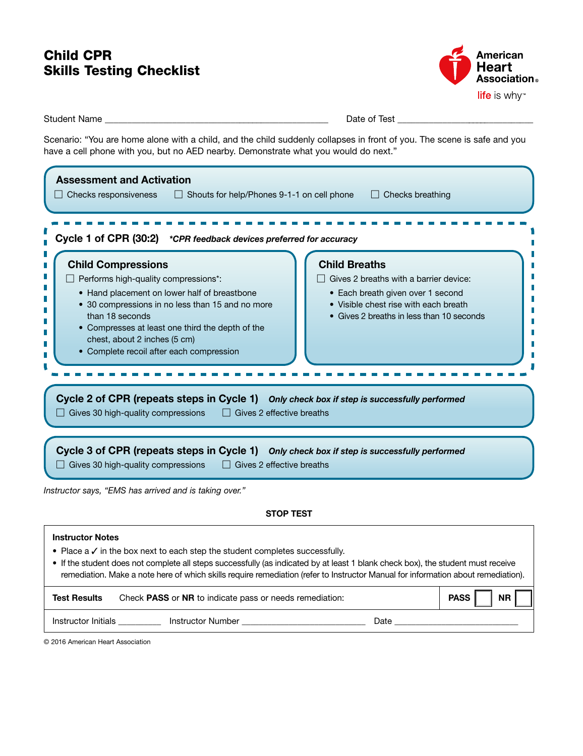# Child CPR Skills Testing Checklist



Student Name \_\_\_\_\_\_\_\_\_\_\_\_\_\_\_\_\_\_\_\_\_\_\_\_\_\_\_\_\_\_\_\_\_\_\_\_\_\_\_\_\_\_\_\_\_\_\_\_\_\_ Date of Test \_\_\_\_\_\_\_\_\_\_\_\_\_\_\_\_\_\_\_\_\_\_\_\_\_\_\_\_\_\_\_

Scenario: "You are home alone with a child, and the child suddenly collapses in front of you. The scene is safe and you have a cell phone with you, but no AED nearby. Demonstrate what you would do next."

| <b>Assessment and Activation</b><br>$\Box$ Checks responsiveness<br>$\Box$ Shouts for help/Phones 9-1-1 on cell phone<br>Cycle 1 of CPR (30:2) *CPR feedback devices preferred for accuracy                                                                                                                              | $\Box$ Checks breathing                                                                                                                                                                   |  |  |  |
|--------------------------------------------------------------------------------------------------------------------------------------------------------------------------------------------------------------------------------------------------------------------------------------------------------------------------|-------------------------------------------------------------------------------------------------------------------------------------------------------------------------------------------|--|--|--|
| <b>Child Compressions</b><br>Performs high-quality compressions*:<br>• Hand placement on lower half of breastbone<br>• 30 compressions in no less than 15 and no more<br>than 18 seconds<br>• Compresses at least one third the depth of the<br>chest, about 2 inches (5 cm)<br>• Complete recoil after each compression | <b>Child Breaths</b><br>Gives 2 breaths with a barrier device:<br>• Each breath given over 1 second<br>• Visible chest rise with each breath<br>• Gives 2 breaths in less than 10 seconds |  |  |  |
| Cycle 2 of CPR (repeats steps in Cycle 1) Only check box if step is successfully performed<br>$\Box$ Gives 30 high-quality compressions<br>$\Box$ Gives 2 effective breaths                                                                                                                                              |                                                                                                                                                                                           |  |  |  |
| Cycle 3 of CPR (repeats steps in Cycle 1) Only check box if step is successfully performed<br>$\Box$ Gives 30 high-quality compressions<br>$\Box$ Gives 2 effective breaths                                                                                                                                              |                                                                                                                                                                                           |  |  |  |

*Instructor says, "EMS has arrived and is taking over."*

### STOP TEST

#### Instructor Notes

- Place a ✓ in the box next to each step the student completes successfully.
- If the student does not complete all steps successfully (as indicated by at least 1 blank check box), the student must receive remediation. Make a note here of which skills require remediation (refer to Instructor Manual for information about remediation).

| <b>Test Results</b> | Check <b>PASS</b> or <b>NR</b> to indicate pass or needs remediation: |      | <b>NR</b><br><b>PASS</b> |
|---------------------|-----------------------------------------------------------------------|------|--------------------------|
| Instructor Initials | Instructor Number                                                     | Date |                          |

© 2016 American Heart Association